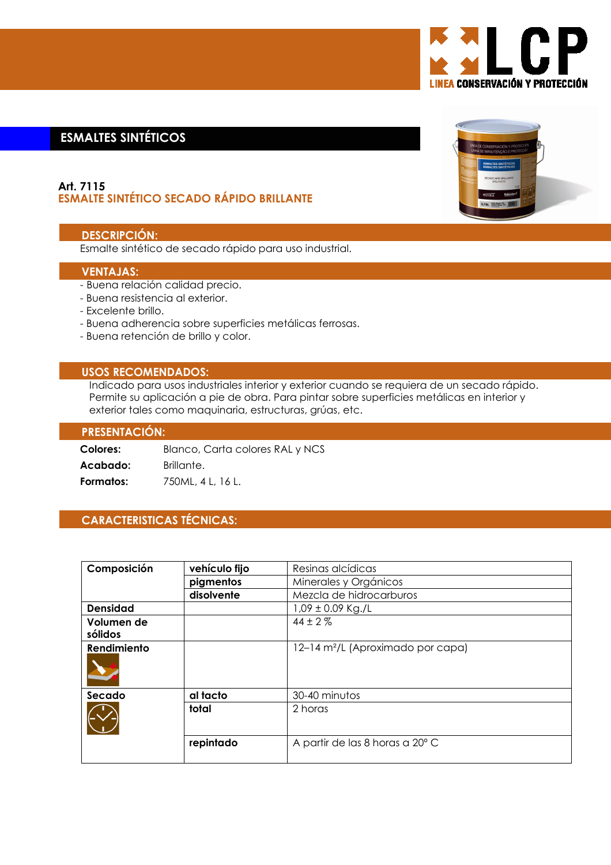

# **ESMALTES SINTÉTICOS**

### Art. 7115 **ESMALTE SINTÉTICO SECADO RÁPIDO BRILLANTE**

### **DESCRIPCIÓN:**

Esmalte sintético de secado rápido para uso industrial.

### **VENTAJAS:**

- Buena relación calidad precio.
- Buena resistencia al exterior.
- Excelente brillo.
- Buena adherencia sobre superficies metálicas ferrosas.
- Buena retención de brillo y color.

### **USOS RECOMENDADOS:**

Indicado para usos industriales interior y exterior cuando se requiera de un secado rápido. Permite su aplicación a pie de obra. Para pintar sobre superficies metálicas en interior y exterior tales como maquinaria, estructuras, grúas, etc.

#### **PRESENTACIÓN:**

| Colores:  | Blanco, Carta colores RAL y NCS |  |  |
|-----------|---------------------------------|--|--|
| Acabado:  | Brillante.                      |  |  |
| Formatos: | 750ML, 4 L, 16 L.               |  |  |

## **CARACTERISTICAS TÉCNICAS:**

| Composición           | vehículo fijo | Resinas alcídicas                             |
|-----------------------|---------------|-----------------------------------------------|
|                       | pigmentos     | Minerales y Orgánicos                         |
|                       | disolvente    | Mezcla de hidrocarburos                       |
| <b>Densidad</b>       |               | $1,09 \pm 0.09$ Kg./L                         |
| Volumen de<br>sólidos |               | $44 \pm 2\%$                                  |
| Rendimiento           |               | 12-14 m <sup>2</sup> /L (Aproximado por capa) |
| Secado                | al tacto      | 30-40 minutos                                 |
|                       | total         | 2 horas                                       |
|                       | repintado     | A partir de las 8 horas a 20° C               |